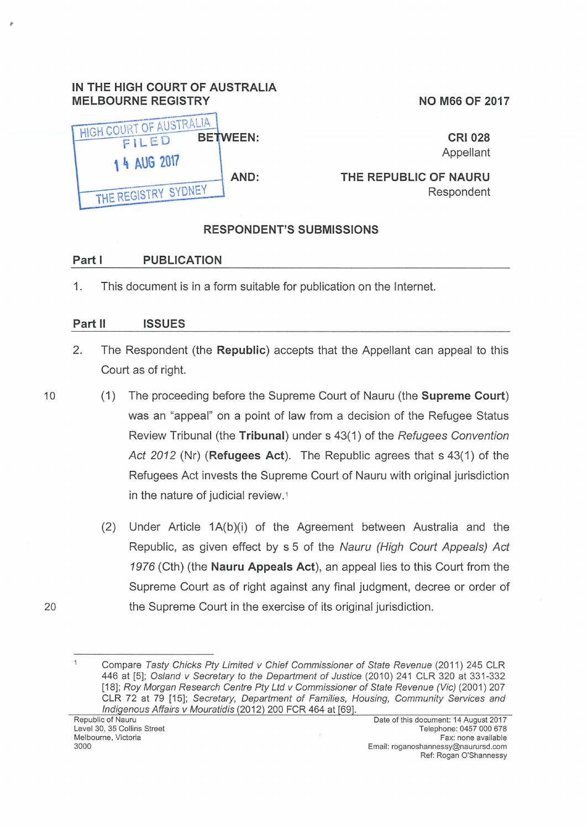# **IN THE HIGH COURT OF AUSTRALIA MELBOURNE REGISTRY**

**NO M66 OF 2017** 

| <b>BETWEEN:</b> | <b>HIGH COURT OF AUSTRALIA</b><br>FILED |  |
|-----------------|-----------------------------------------|--|
| AND:            | 1 4 AUG 2017                            |  |
|                 | THE REGISTRY SYDNEY                     |  |

**CRI 028**  Appellant

**THE REPUBLIC OF NAURU**  Respondent

# **RESPONDENT'S SUBMISSIONS**

# **Part I PUBLICATION**

1. This document is in a form suitable for publication on the Internet.

### **Part 11 ISSUES**

2. The Respondent (the **Republic)** accepts that the Appellant can appeal to this Court as of right.

20

;

- 10 (1) The proceeding before the Supreme Court of Nauru (the **Supreme Court**) was an "appeal" on a point of law from a decision of the Refugee Status Review Tribunal (the **Tribunal)** under s 43(1) of the Refugees Convention Act 2012 (Nr) **(Refugees Act).** The Republic agrees that s 43(1) of the Refugees Act invests the Supreme Court of Nauru with original jurisdiction in the nature of judicial review.<sup>1</sup>
	- (2) Under Article 1A(b)(i) of the Agreement between Australia and the Republic, as given effect by s 5 of the Nauru (High Court Appeals) Act 1976 (Cth) (the **Nauru Appeals Act),** an appeal lies to this Court from the Supreme Court as of right against any final judgment, decree or order of the Supreme Court in the exercise of its original jurisdiction.

 $\mathbf{1}$ Compare Tasty Chicks Pty Limited v Chief Commissioner of State Revenue (2011) 245 CLR 446 at [5]; Osland v Secretary to the Department of Justice (2010) 241 CLR 320 at 331-332 [18]; Roy Morgan Research Centre Pty Ltd v Commissioner of State Revenue (Vic) (2001) 207 CLR 72 at 79 [15]; Secretary, Department of Families, Housing, Community Services and Indigenous Affairs v Mouratidis (2012) 200 FCR 464 at [69].<br>Republic of Nauru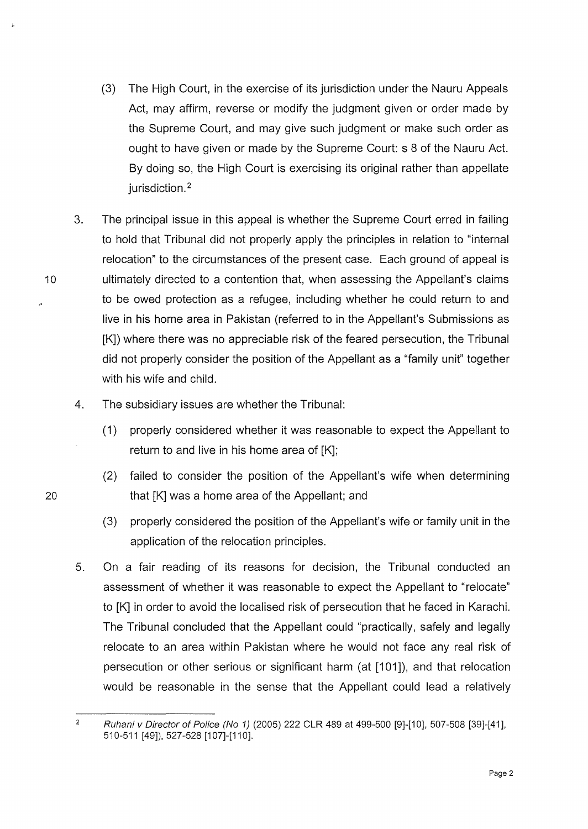- (3) The High Court, in the exercise of its jurisdiction under the Nauru Appeals Act, may affirm, reverse or modify the judgment given or order made by the Supreme Court, and may give such judgment or make such order as ought to have given or made by the Supreme Court: s 8 of the Nauru Act. By doing so, the High Court is exercising its original rather than appellate jurisdiction.<sup>2</sup>
- 3. The principal issue in this appeal is whether the Supreme Court erred in failing to hold that Tribunal did not properly apply the principles in relation to "internal relocation" to the circumstances of the present case. Each ground of appeal is 10 **b ultimately directed to a contention that, when assessing the Appellant's claims** to be owed protection as a refugee, including whether he could return to and live in his home area in Pakistan (referred to in the Appellant's Submissions as [K]) where there was no appreciable risk of the feared persecution, the Tribunal did not properly consider the position of the Appellant as a "family unit" together with his wife and child.
	- 4. The subsidiary issues are whether the Tribunal:
		- (1) properly considered whether it was reasonable to expect the Appellant to return to and live in his home area of [K];
- (2) failed to consider the position of the Appellant's wife when determining 20 that [K] was a home area of the Appellant; and
	- (3) properly considered the position of the Appellant's wife or family unit in the application of the relocation principles.
	- 5. On a fair reading of its reasons for decision, the Tribunal conducted an assessment of whether it was reasonable to expect the Appellant to "relocate" to [K] in order to avoid the localised risk of persecution that he faced in Karachi. The Tribunal concluded that the Appellant could "practically, safely and legally relocate to an area within Pakistan where he would not face any real risk of persecution or other serious or significant harm (at [101]), and that relocation would be reasonable in the sense that the Appellant could lead a relatively

<sup>&</sup>lt;sup>2</sup> Ruhani v Director of Police (No 1) (2005) 222 CLR 489 at 499-500 [9]-[10], 507-508 [39]-[41], 510-511 [49]), 527-528 [1 07]-[11 0].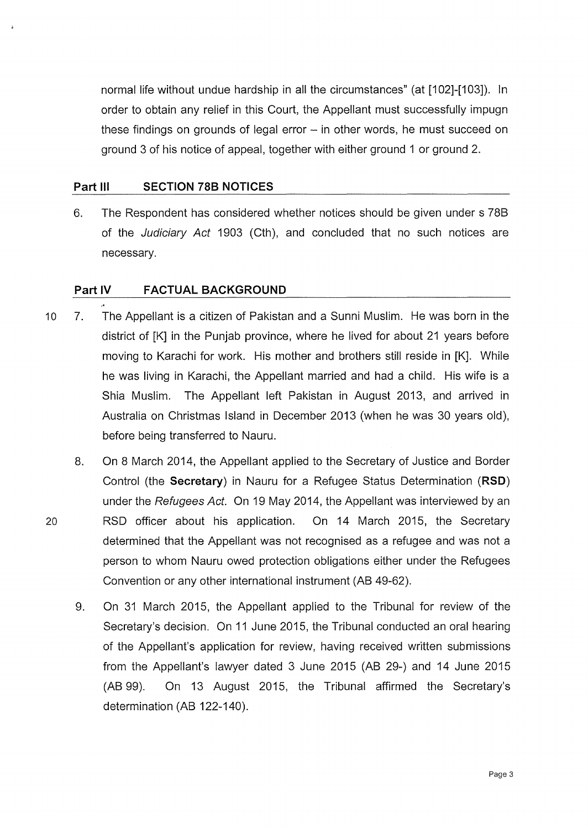normal life without undue hardship in all the circumstances" (at [1 02]-[1 03]). In order to obtain any relief in this Court, the Appellant must successfully impugn these findings on grounds of legal error - in other words, he must succeed on ground 3 of his notice of appeal, together with either ground 1 or ground 2.

### **Part** Ill **SECTION 788 NOTICES**

6. The Respondent has considered whether notices should be given under s 78B of the Judiciary Act 1903 (Cth), and concluded that no such notices are necessary.

#### **Part IV FACTUAL BACKGROUND**

- 10 7. The Appellant is a citizen of Pakistan and a Sunni Muslim. He was born in the district of [K] in the Punjab province, where he lived for about 21 years before moving to Karachi for work. His mother and brothers still reside in [K]. While he was living in Karachi, the Appellant married and had a child. His wife is a Shia Muslim. The Appellant left Pakistan in August 2013, and arrived in Australia on Christmas Island in December 2013 (when he was 30 years old), before being transferred to Nauru.
- 8. On 8 March 2014, the Appellant applied to the Secretary of Justice and Border Control (the **Secretary)** in Nauru for a Refugee Status Determination **(RSD)**  under the Refugees Act. On 19 May 2014, the Appellant was interviewed by an 20 RSD officer about his application. On 14 March 2015, the Secretary determined that the Appellant was not recognised as a refugee and was not a person to whom Nauru owed protection obligations either under the Refugees Convention or any other international instrument (AB 49-62).
	- 9. On 31 March 2015, the Appellant applied to the Tribunal for review of the Secretary's decision. On 11 June 2015, the Tribunal conducted an oral hearing of the Appellant's application for review, having received written submissions from the Appellant's lawyer dated 3 June 2015 (AB 29-) and 14 June 2015 (AB 99). On 13 August 2015, the Tribunal affirmed the Secretary's determination (AB 122-140).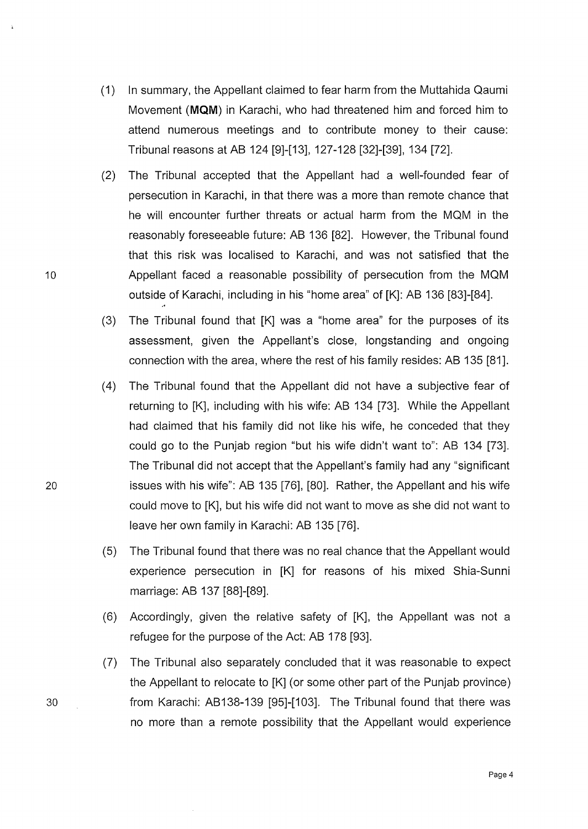- (1) In summary, the Appellant claimed to fear harm from the Muttahida Qaumi Movement **(MQM)** in Karachi, who had threatened him and forced him to attend numerous meetings and to contribute money to their cause: Tribunal reasons at AB 124 [9]-[13], 127-128 [32]-[39], 134 [72].
- (2) The Tribunal accepted that the Appellant had a well-founded fear of persecution in Karachi, in that there was a more than remote chance that he will encounter further threats or actual harm from the MQM in the reasonably foreseeable future: AB 136 [82]. However, the Tribunal found that this risk was localised to Karachi, and was not satisfied that the Appellant faced a reasonable possibility of persecution from the MQM outside of Karachi, including in his "home area" of [K]: AB 136 [83]-[84].
- (3) The Tribunal found that [K] was a "home area" for the purposes of its assessment, given the Appellant's close, longstanding and ongoing connection with the area, where the rest of his family resides: AB 135 [81].
- (4) The Tribunal found that the Appellant did not have a subjective fear of returning to [K], including with his wife: AB 134 [73]. While the Appellant had claimed that his family did not like his wife, he conceded that they could go to the Punjab region "but his wife didn't want to": AB 134 [73]. The Tribunal did not accept that the Appellant's family had any "significant issues with his wife": AB 135 [76], [80]. Rather, the Appellant and his wife could move to [K], but his wife did not want to move as she did not want to leave her own family in Karachi: AB 135 [76].
- (5) The Tribunal found that there was no real chance that the Appellant would experience persecution in [K] for reasons of his mixed Shia-Sunni marriage: AB 137 [88]-[89].
- (6) Accordingly, given the relative safety of [K], the Appellant was not a refugee for the purpose of the Act: AB 178 [93].
- (7) The Tribunal also separately concluded that it was reasonable to expect the Appellant to relocate to [K] (or some other part of the Punjab province) 30 from Karachi: AB138-139 [95]-[103]. The Tribunal found that there was no more than a remote possibility that the Appellant would experience

10

20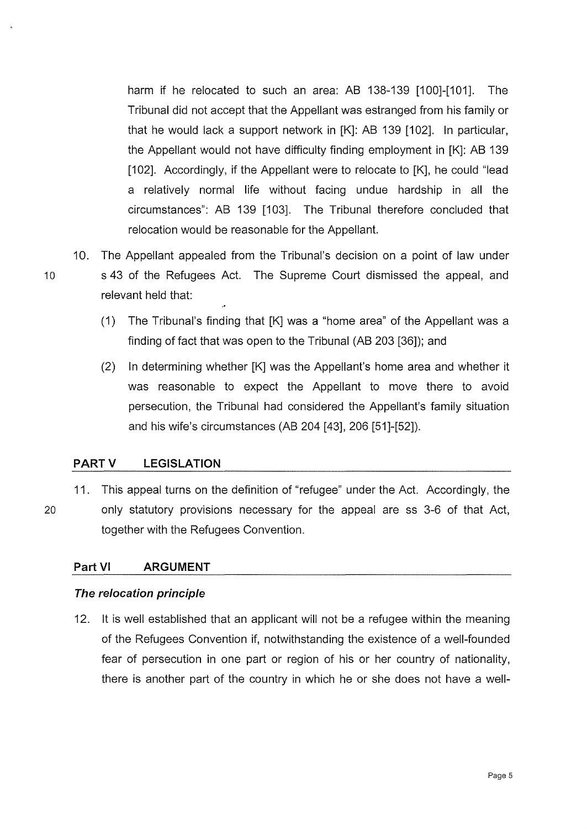harm if he relocated to such an area: AB 138-139 [100]-[101]. The Tribunal did not accept that the Appellant was estranged from his family or that he would lack a support network in [K]: AB 139 [102]. In particular, the Appellant would not have difficulty finding employment in [K]: AB 139 [102]. Accordingly, if the Appellant were to relocate to [K], he could "lead a relatively normal life without facing undue hardship in all the circumstances": AB 139 [103]. The Tribunal therefore concluded that relocation would be reasonable for the Appellant.

- 10. The Appellant appealed from the Tribunal's decision on a point of law under 10 s 43 of the Refugees Act. The Supreme Court dismissed the appeal, and relevant held that:
	- (1) The Tribunal's finding that [K] was a "home area" of the Appellant was a finding of fact that was open to the Tribunal (AB 203 [36]); and
	- (2) In determining whether [K] was the Appellant's home area and whether it was reasonable to expect the Appellant to move there to avoid persecution, the Tribunal had considered the Appellant's family situation and his wife's circumstances (AB 204 [43], 206 [51]-[52]).

### **PART V LEGISLATION**

11. This appeal turns on the definition of "refugee" under the Act. Accordingly, the 20 only statutory provisions necessary for the appeal are ss 3-6 of that Act, together with the Refugees Convention.

### **Part VI ARGUMENT**

### **The relocation principle**

12. lt is well established that an applicant will not be a refugee within the meaning of the Refugees Convention if, notwithstanding the existence of a well-founded fear of persecution in one part or region of his or her country of nationality, there is another part of the country in which he or she does not have a well-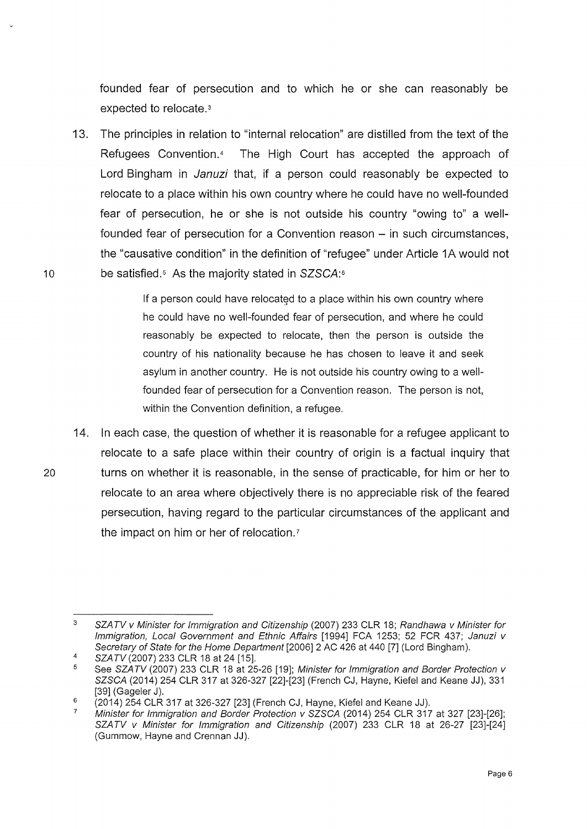founded fear of persecution and to which he or she can reasonably be expected to relocate.<sup>3</sup>

13. The principles in relation to "internal relocation" are distilled from the text of the Refugees Convention.<sup>4</sup> The High Court has accepted the approach of Lord Bingham in *Januzi* that, if a person could reasonably be expected to relocate to a place within his own country where he could have no well-founded fear of persecution, he or she is not outside his country "owing to" a wellfounded fear of persecution for a Convention reason - in such circumstances, the "causative condition" in the definition of "refugee" under Article 1A would not 10 be satisfied.<sup>5</sup> As the majority stated in SZSCA: $6$ 

> If a person could have relocated to a place within his own country where he could have no well-founded fear of persecution, and where he could reasonably be expected to relocate, then the person is outside the country of his nationality because he has chosen to leave it and seek asylum in another country. He is not outside his country owing to a wellfounded fear of persecution for a Convention reason. The person is not, within the Convention definition, a refugee.

14. In each case, the question of whether it is reasonable for a refugee applicant to relocate to a safe place within their country of origin is a factual inquiry that 20 turns on whether it is reasonable, in the sense of practicable, for him or her to relocate to an area where objectively there is no appreciable risk of the feared persecution, having regard to the particular circumstances of the applicant and the impact on him or her of relocation. <sup>7</sup>

<sup>3</sup>  SZATV v Minister for Immigration and Citizenship (2007) 233 CLR 18; Randhawa v Minister for Immigration, Local Government and Ethnic Affairs [1994] FCA 1253; 52 FCR 437; Januzi v Secretary of State for the Home Department [2006] 2 AC 426 at 440 [7] (Lord Bingham).

<sup>4</sup>  SZATV (2007) 233 CLR 18 at 24 [15].

<sup>5</sup>  See SZATV (2007) 233 CLR 18 at 25-26 [19]; Minister for Immigration and Border Protection v SZSCA (2014) 254 CLR 317 at 326-327 [22]-[23] (French CJ, Hayne, Kiefel and Keane JJ), 331 [39] (Gageler J).

<sup>6</sup>  (2014) 254 CLR 317 at 326-327 [23] (French CJ, Hayne, Kiefel and Keane JJ).

<sup>7</sup>  Minister for Immigration and Border Protection v SZSCA (2014) 254 CLR 317 at 327 [23]-[26]; SZATV v Minister for Immigration and Citizenship (2007) 233 CLR 18 at 26-27 [23]-[24] (Gummow, Hayne and Crennan JJ).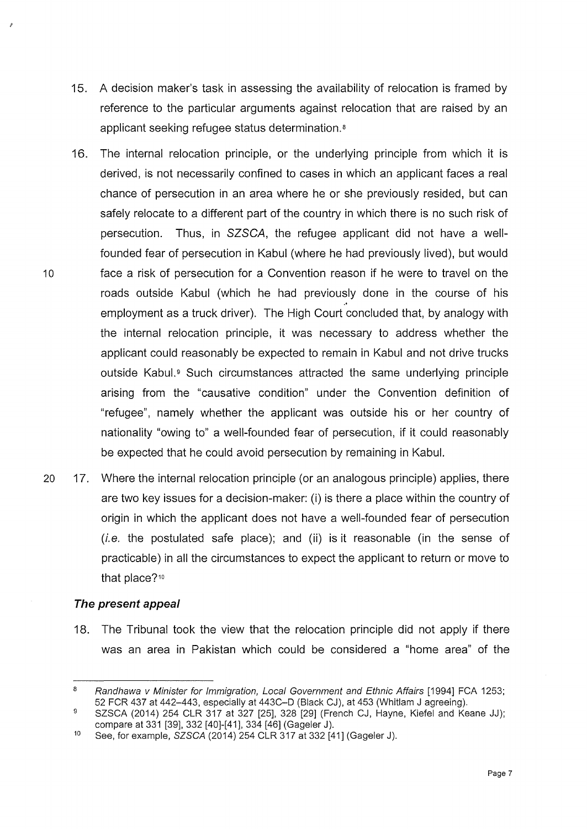- 15. A decision maker's task in assessing the availability of relocation is framed by reference to the particular arguments against relocation that are raised by an applicant seeking refugee status determination.<sup>8</sup>
- 16. The internal relocation principle, or the underlying principle from which it is derived, is not necessarily confined to cases in which an applicant faces a real chance of persecution in an area where he or she previously resided, but can safely relocate to a different part of the country in which there is no such risk of persecution. Thus, in SZSCA, the refugee applicant did not have a wellfounded fear of persecution in Kabul (where he had previously lived), but would 10 face a risk of persecution for a Convention reason if he were to travel on the roads outside Kabul (which he had previously done in the course of his ·' employment as a truck driver). The High Court concluded that, by analogy with the internal relocation principle, it was necessary to address whether the applicant could reasonably be expected to remain in Kabul and not drive trucks outside Kabul.<sup>9</sup> Such circumstances attracted the same underlying principle arising from the "causative condition" under the Convention definition of "refugee", namely whether the applicant was outside his or her country of nationality "owing to" a well-founded fear of persecution, if it could reasonably be expected that he could avoid persecution by remaining in Kabul.
- 20 17. Where the internal relocation principle (or an analogous principle) applies, there are two key issues for a decision-maker: (i) is there a place within the country of origin in which the applicant does not have a well-founded fear of persecution (i.e. the postulated safe place); and (ii) is it reasonable (in the sense of practicable) in all the circumstances to expect the applicant to return or move to that place?<sup>10</sup>

#### **The present appeal**

18. The Tribunal took the view that the relocation principle did not apply if there was an area in Pakistan which could be considered a "home area" of the

<sup>8</sup>  Randhawa v Minister for Immigration, Local Government and Ethnic Affairs [1994] FCA 1253; 52 FCR 437 at 442-443, especially at 443C-D (Black CJ), at 453 (Whitlam J agreeing).

<sup>9</sup>  SZSCA (2014) 254 CLR 317 at 327 [25], 328 [29] (French CJ, Hayne, Kiefel and Keane JJ); compare at 331 [39], 332 [40]-[41], 334 [46] (Gageler J).

<sup>10</sup>  See, for example, SZSCA (2014) 254 CLR 317 at 332 [41] (Gageler J).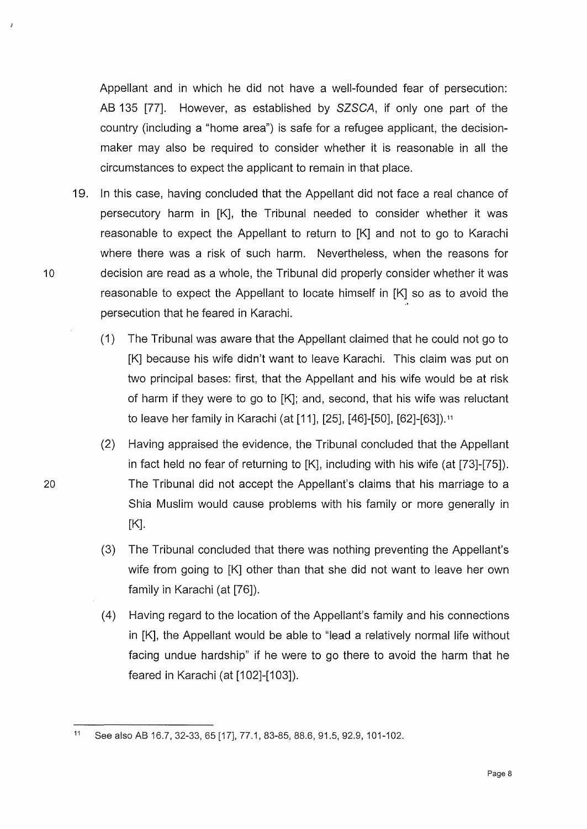Appellant and in which he did not have a well-founded fear of persecution: AB 135 [77]. However, as established by SZSCA, if only one part of the country (including a "home area") is safe for a refugee applicant, the decisionmaker may also be required to consider whether it is reasonable in all the circumstances to expect the applicant to remain in that place.

- 19. In this case, having concluded that the Appellant did not face a real chance of persecutory harm in [K], the Tribunal needed to consider whether it was reasonable to expect the Appellant to return to [K] and not to go to Karachi where there was a risk of such harm. Nevertheless, when the reasons for 10 decision are read as a whole, the Tribunal did properly consider whether it was reasonable to expect the Appellant to locate himself in [K] so as to avoid the persecution that he feared in Karachi.
	- (1) The Tribunal was aware that the Appellant claimed that he could not go to [K] because his wife didn't want to leave Karachi. This claim was put on two principal bases: first, that the Appellant and his wife would be at risk of harm if they were to go to [K]; and, second, that his wife was reluctant to leave her family in Karachi (at [11], [25], [46]-[50], [62]-[63]). <sup>11</sup>
	- (2) Having appraised the evidence, the Tribunal concluded that the Appellant in fact held no fear of returning to [K], including with his wife (at [73]-[75]). The Tribunal did not accept the Appellant's claims that his marriage to a Shia Muslim would cause problems with his family or more generally in  $[K]$ .
	- (3) The Tribunal concluded that there was nothing preventing the Appellant's wife from going to [K] other than that she did not want to leave her own family in Karachi (at [76]).
	- (4) Having regard to the location of the Appellant's family and his connections in [K], the Appellant would be able to "lead a relatively normal life without facing undue hardship" if he were to go there to avoid the harm that he feared in Karachi (at [102]-[103]).

20

<sup>11</sup>  See also AB 16.7, 32-33, 65 [17], 77.1, 83-85, 88.6, 91.5, 92.9, 101-102.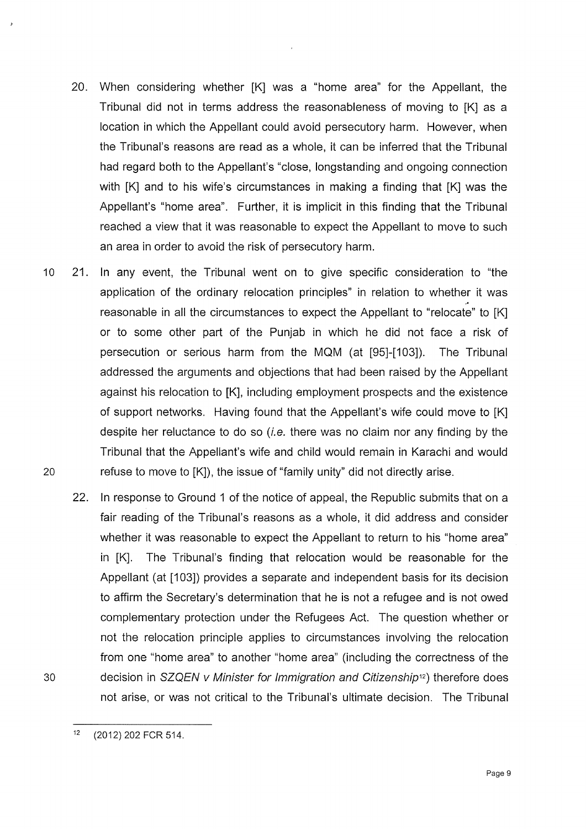- 20. When considering whether [K] was a "home area" for the Appellant, the Tribunal did not in terms address the reasonableness of moving to [K] as a location in which the Appellant could avoid persecutory harm. However, when the Tribunal's reasons are read as a whole, it can be inferred that the Tribunal had regard both to the Appellant's "close, longstanding and ongoing connection with [K] and to his wife's circumstances in making a finding that [K] was the Appellant's "home area". Further, it is implicit in this finding that the Tribunal reached a view that it was reasonable to expect the Appellant to move to such an area in order to avoid the risk of persecutory harm.
- 10 21. In any event, the Tribunal went on to give specific consideration to "the application of the ordinary relocation principles" in relation to whether it was<br>reasonable in all the circumstances to expect the Appellant to "relocate" to [K] or to some other part of the Punjab in which he did not face a risk of persecution or serious harm from the MQM (at [95]-[103]). The Tribunal addressed the arguments and objections that had been raised by the Appellant against his relocation to [K], including employment prospects and the existence of support networks. Having found that the Appellant's wife could move to [K] despite her reluctance to do so (i.e. there was no claim nor any finding by the Tribunal that the Appellant's wife and child would remain in Karachi and would 20 refuse to move to [K]), the issue of "family unity" did not directly arise.
- 22. In response to Ground 1 of the notice of appeal, the Republic submits that on a fair reading of the Tribunal's reasons as a whole, it did address and consider whether it was reasonable to expect the Appellant to return to his "home area" in [K]. The Tribunal's finding that relocation would be reasonable for the Appellant (at [103]) provides a separate and independent basis for its decision to affirm the Secretary's determination that he is not a refugee and is not owed complementary protection under the Refugees Act. The question whether or not the relocation principle applies to circumstances involving the relocation from one "home area" to another "home area" (including the correctness of the 30 decision in SZQEN *v* Minister for Immigration and Citizenship12 ) therefore does not arise, or was not critical to the Tribunal's ultimate decision. The Tribunal

<sup>12 (2012) 202</sup> FCR 514.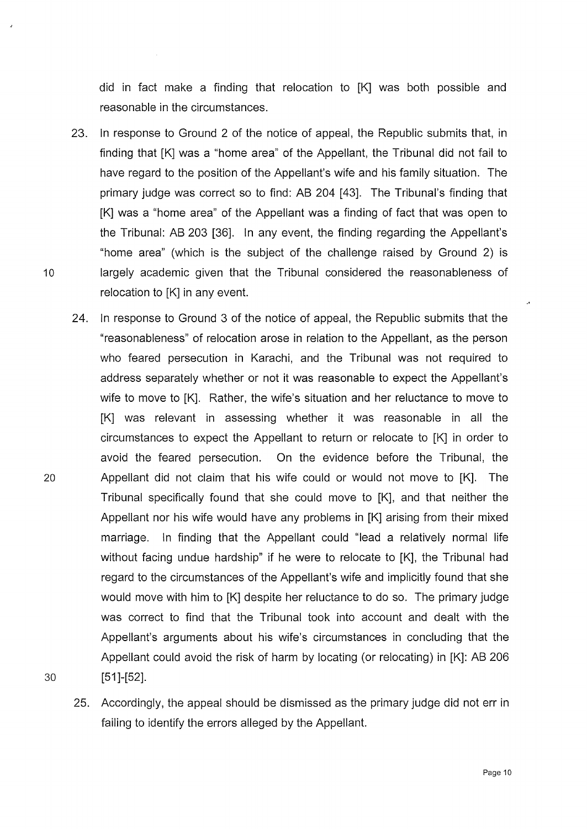did in fact make a finding that relocation to [K] was both possible and reasonable in the circumstances.

- 23. In response to Ground 2 of the notice of appeal, the Republic submits that, in finding that [K] was a "home area" of the Appellant, the Tribunal did not fail to have regard to the position of the Appellant's wife and his family situation. The primary judge was correct so to find: AB 204 [43]. The Tribunal's finding that [K] was a "home area" of the Appellant was a finding of fact that was open to the Tribunal: AB 203 [36]. In any event, the finding regarding the Appellant's "home area" (which is the subject of the challenge raised by Ground 2) is 10 largely academic given that the Tribunal considered the reasonableness of relocation to [K] in any event.
- 24. In response to Ground 3 of the notice of appeal, the Republic submits that the "reasonableness" of relocation arose in relation to the Appellant, as the person who feared persecution in Karachi, and the Tribunal was not required to address separately whether or not it was reasonable to expect the Appellant's wife to move to [K]. Rather, the wife's situation and her reluctance to move to [K] was relevant in assessing whether it was reasonable in all the circumstances to expect the Appellant to return or relocate to [K] in order to avoid the feared persecution. On the evidence before the Tribunal, the 20 Appellant did not claim that his wife could or would not move to [K]. The Tribunal specifically found that she could move to [K], and that neither the Appellant nor his wife would have any problems in [K] arising from their mixed marriage. In finding that the Appellant could "lead a relatively normal life without facing undue hardship" if he were to relocate to [K], the Tribunal had regard to the circumstances of the Appellant's wife and implicitly found that she would move with him to [K] despite her reluctance to do so. The primary judge was correct to find that the Tribunal took into account and dealt with the Appellant's arguments about his wife's circumstances in concluding that the Appellant could avoid the risk of harm by locating (or relocating) in [K]: AB 206 30 [51 ]-[52].
	- 25. Accordingly, the appeal should be dismissed as the primary judge did not err in failing to identify the errors alleged by the Appellant.

 $\ddot{\phantom{a}}$